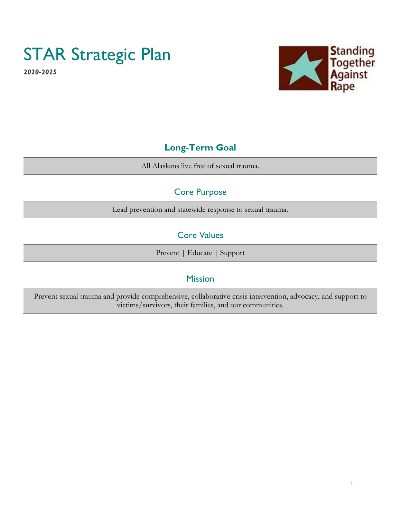# STAR Strategic Plan

*2020-2025* 



## **Long-Term Goal**

All Alaskans live free of sexual trauma.

# Core Purpose

Lead prevention and statewide response to sexual trauma.

# Core Values

Prevent | Educate | Support

### Mission

Prevent sexual trauma and provide comprehensive, collaborative crisis intervention, advocacy, and support to victims/survivors, their families, and our communities.